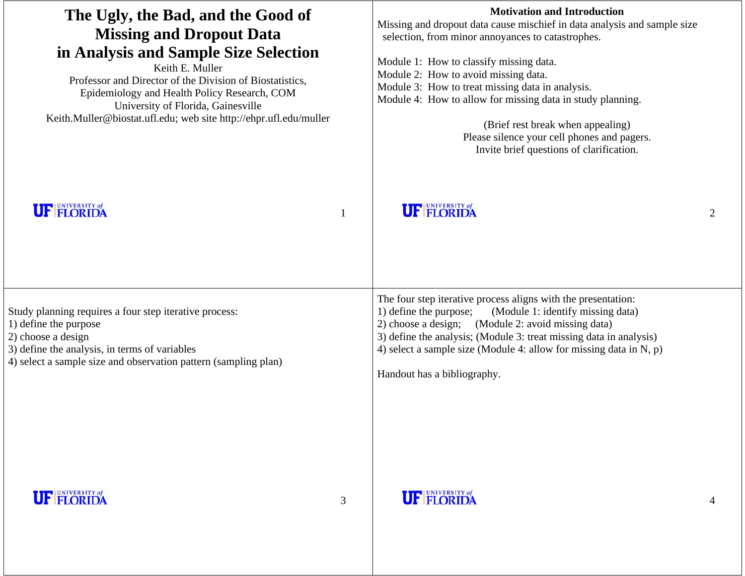| The Ugly, the Bad, and the Good of<br><b>Missing and Dropout Data</b><br>in Analysis and Sample Size Selection<br>Keith E. Muller<br>Professor and Director of the Division of Biostatistics,<br>Epidemiology and Health Policy Research, COM<br>University of Florida, Gainesville<br>Keith.Muller@biostat.ufl.edu; web site http://ehpr.ufl.edu/muller |   | <b>Motivation and Introduction</b><br>Missing and dropout data cause mischief in data analysis and sample size<br>selection, from minor annoyances to catastrophes.<br>Module 1: How to classify missing data.<br>Module 2: How to avoid missing data.<br>Module 3: How to treat missing data in analysis.<br>Module 4: How to allow for missing data in study planning.<br>(Brief rest break when appealing)<br>Please silence your cell phones and pagers.<br>Invite brief questions of clarification. |   |
|----------------------------------------------------------------------------------------------------------------------------------------------------------------------------------------------------------------------------------------------------------------------------------------------------------------------------------------------------------|---|----------------------------------------------------------------------------------------------------------------------------------------------------------------------------------------------------------------------------------------------------------------------------------------------------------------------------------------------------------------------------------------------------------------------------------------------------------------------------------------------------------|---|
| <b>UF FLORIDA</b>                                                                                                                                                                                                                                                                                                                                        |   | <b>UF FLORIDA</b>                                                                                                                                                                                                                                                                                                                                                                                                                                                                                        | 2 |
| Study planning requires a four step iterative process:<br>1) define the purpose<br>2) choose a design<br>3) define the analysis, in terms of variables<br>4) select a sample size and observation pattern (sampling plan)                                                                                                                                |   | The four step iterative process aligns with the presentation:<br>1) define the purpose;<br>(Module 1: identify missing data)<br>2) choose a design; (Module 2: avoid missing data)<br>3) define the analysis; (Module 3: treat missing data in analysis)<br>4) select a sample size (Module 4: allow for missing data in $N$ , $p$ )<br>Handout has a bibliography.                                                                                                                                      |   |
| <b>UF FLORIDA</b>                                                                                                                                                                                                                                                                                                                                        | 3 | <b>UF FLORIDA</b>                                                                                                                                                                                                                                                                                                                                                                                                                                                                                        |   |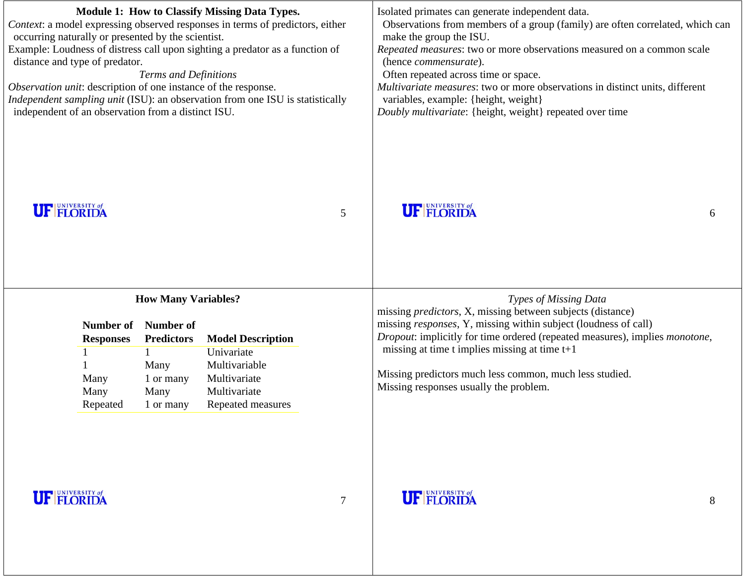| <b>Module 1: How to Classify Missing Data Types.</b><br>Context: a model expressing observed responses in terms of predictors, either<br>occurring naturally or presented by the scientist.<br>Example: Loudness of distress call upon sighting a predator as a function of<br>distance and type of predator.<br>Terms and Definitions<br>Observation unit: description of one instance of the response.<br>Independent sampling unit (ISU): an observation from one ISU is statistically<br>independent of an observation from a distinct ISU. |                | Isolated primates can generate independent data.<br>Observations from members of a group (family) are often correlated, which can<br>make the group the ISU.<br>Repeated measures: two or more observations measured on a common scale<br>(hence commensurate).<br>Often repeated across time or space.<br>Multivariate measures: two or more observations in distinct units, different<br>variables, example: {height, weight}<br>Doubly multivariate: {height, weight} repeated over time |   |
|-------------------------------------------------------------------------------------------------------------------------------------------------------------------------------------------------------------------------------------------------------------------------------------------------------------------------------------------------------------------------------------------------------------------------------------------------------------------------------------------------------------------------------------------------|----------------|---------------------------------------------------------------------------------------------------------------------------------------------------------------------------------------------------------------------------------------------------------------------------------------------------------------------------------------------------------------------------------------------------------------------------------------------------------------------------------------------|---|
| <b>UF FLORIDA</b>                                                                                                                                                                                                                                                                                                                                                                                                                                                                                                                               | 5              | <b>UF FLORIDA</b>                                                                                                                                                                                                                                                                                                                                                                                                                                                                           | 6 |
| <b>How Many Variables?</b><br>Number of<br>Number of<br><b>Model Description</b><br><b>Predictors</b><br><b>Responses</b><br>Univariate<br>Multivariable<br>Many<br>Multivariate<br>Many<br>1 or many<br>Many<br>Multivariate<br>Many<br>Repeated measures<br>Repeated<br>1 or many                                                                                                                                                                                                                                                             |                | Types of Missing Data<br>missing <i>predictors</i> , X, missing between subjects (distance)<br>missing responses, Y, missing within subject (loudness of call)<br>Dropout: implicitly for time ordered (repeated measures), implies monotone,<br>missing at time $t$ implies missing at time $t+1$<br>Missing predictors much less common, much less studied.<br>Missing responses usually the problem.                                                                                     |   |
| <b>UF FLORIDA</b>                                                                                                                                                                                                                                                                                                                                                                                                                                                                                                                               | $\overline{7}$ | <b>UF FLORIDA</b>                                                                                                                                                                                                                                                                                                                                                                                                                                                                           | 8 |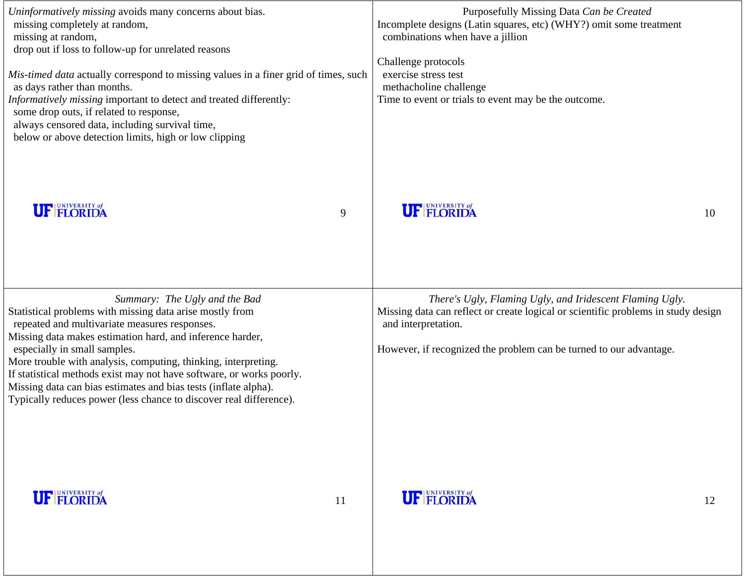| Uninformatively missing avoids many concerns about bias.<br>missing completely at random,<br>missing at random,<br>drop out if loss to follow-up for unrelated reasons<br>Mis-timed data actually correspond to missing values in a finer grid of times, such<br>as days rather than months.<br>Informatively missing important to detect and treated differently:<br>some drop outs, if related to response,<br>always censored data, including survival time,<br>below or above detection limits, high or low clipping   |    | Purposefully Missing Data Can be Created<br>Incomplete designs (Latin squares, etc) (WHY?) omit some treatment<br>combinations when have a jillion<br>Challenge protocols<br>exercise stress test<br>methacholine challenge<br>Time to event or trials to event may be the outcome. |    |
|----------------------------------------------------------------------------------------------------------------------------------------------------------------------------------------------------------------------------------------------------------------------------------------------------------------------------------------------------------------------------------------------------------------------------------------------------------------------------------------------------------------------------|----|-------------------------------------------------------------------------------------------------------------------------------------------------------------------------------------------------------------------------------------------------------------------------------------|----|
| <b>UF FLORIDA</b>                                                                                                                                                                                                                                                                                                                                                                                                                                                                                                          | 9  | <b>UF FLORIDA</b>                                                                                                                                                                                                                                                                   | 10 |
| Summary: The Ugly and the Bad<br>Statistical problems with missing data arise mostly from<br>repeated and multivariate measures responses.<br>Missing data makes estimation hard, and inference harder,<br>especially in small samples.<br>More trouble with analysis, computing, thinking, interpreting.<br>If statistical methods exist may not have software, or works poorly.<br>Missing data can bias estimates and bias tests (inflate alpha).<br>Typically reduces power (less chance to discover real difference). |    | There's Ugly, Flaming Ugly, and Iridescent Flaming Ugly.<br>Missing data can reflect or create logical or scientific problems in study design<br>and interpretation.<br>However, if recognized the problem can be turned to our advantage.                                          |    |
| <b>UF FLORIDA</b>                                                                                                                                                                                                                                                                                                                                                                                                                                                                                                          | 11 | <b>UF FLORIDA</b>                                                                                                                                                                                                                                                                   | 12 |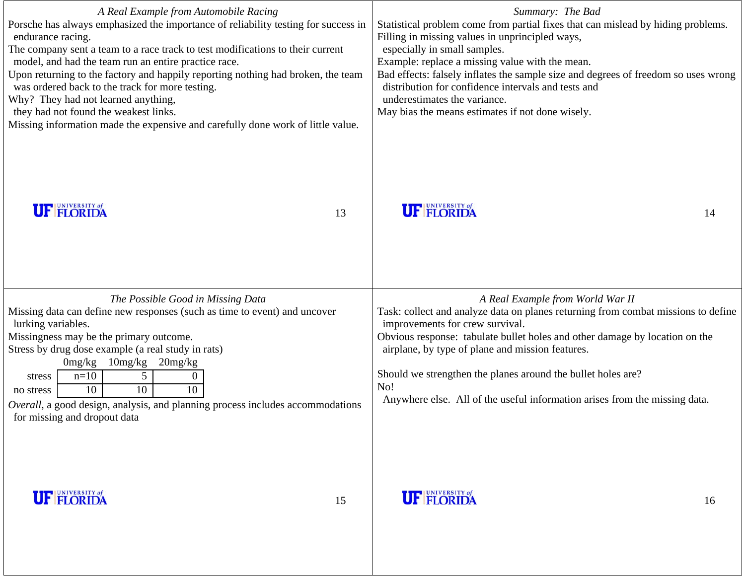| A Real Example from Automobile Racing<br>Porsche has always emphasized the importance of reliability testing for success in<br>endurance racing.<br>The company sent a team to a race track to test modifications to their current<br>model, and had the team run an entire practice race.<br>Upon returning to the factory and happily reporting nothing had broken, the team<br>was ordered back to the track for more testing.<br>Why? They had not learned anything,<br>they had not found the weakest links.<br>Missing information made the expensive and carefully done work of little value. | Summary: The Bad<br>Statistical problem come from partial fixes that can mislead by hiding problems.<br>Filling in missing values in unprincipled ways,<br>especially in small samples.<br>Example: replace a missing value with the mean.<br>Bad effects: falsely inflates the sample size and degrees of freedom so uses wrong<br>distribution for confidence intervals and tests and<br>underestimates the variance.<br>May bias the means estimates if not done wisely. |  |
|------------------------------------------------------------------------------------------------------------------------------------------------------------------------------------------------------------------------------------------------------------------------------------------------------------------------------------------------------------------------------------------------------------------------------------------------------------------------------------------------------------------------------------------------------------------------------------------------------|-----------------------------------------------------------------------------------------------------------------------------------------------------------------------------------------------------------------------------------------------------------------------------------------------------------------------------------------------------------------------------------------------------------------------------------------------------------------------------|--|
| <b>UF FLORIDA</b><br>13                                                                                                                                                                                                                                                                                                                                                                                                                                                                                                                                                                              | <b>UF FLORIDA</b><br>14                                                                                                                                                                                                                                                                                                                                                                                                                                                     |  |
| The Possible Good in Missing Data<br>Missing data can define new responses (such as time to event) and uncover<br>lurking variables.<br>Missingness may be the primary outcome.<br>Stress by drug dose example (a real study in rats)<br>$20$ mg/ $kg$<br>0mg/kg<br>10mg/kg<br>$5\overline{)}$<br>$n=10$<br>$\overline{0}$<br>stress<br>$\overline{10}$<br>$\overline{10}$<br>10<br>no stress<br>Overall, a good design, analysis, and planning process includes accommodations<br>for missing and dropout data                                                                                      | A Real Example from World War II<br>Task: collect and analyze data on planes returning from combat missions to define<br>improvements for crew survival.<br>Obvious response: tabulate bullet holes and other damage by location on the<br>airplane, by type of plane and mission features.<br>Should we strengthen the planes around the bullet holes are?<br>No!<br>Anywhere else. All of the useful information arises from the missing data.                            |  |

## **UF FLORIDA**

16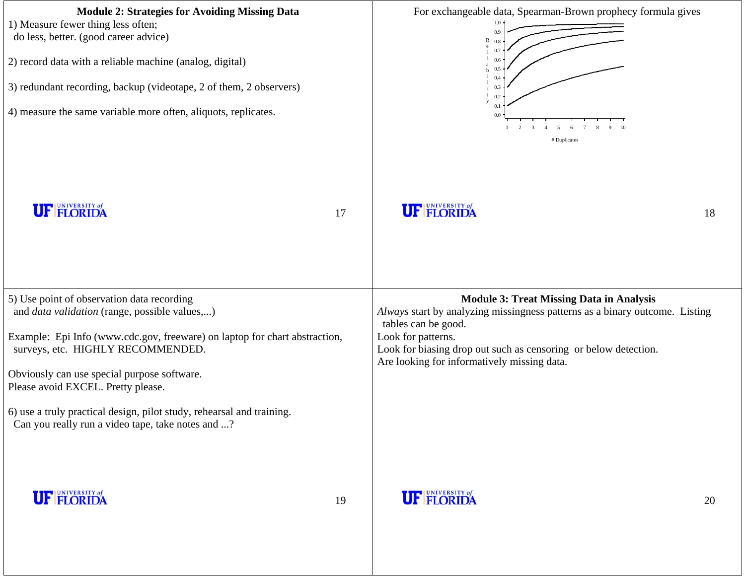| <b>Module 2: Strategies for Avoiding Missing Data</b><br>1) Measure fewer thing less often;<br>do less, better. (good career advice)<br>2) record data with a reliable machine (analog, digital)<br>3) redundant recording, backup (videotape, 2 of them, 2 observers)<br>4) measure the same variable more often, aliquots, replicates.                                                                                                 | For exchangeable data, Spearman-Brown prophecy formula gives<br>0.9<br>R<br>0.8<br>0.7<br>0.5<br>0.4<br>0.3<br>0.2<br>0.1<br>0.0<br>2<br>$\mathbf{3}$<br>$\overline{4}$<br>5<br>-6<br>10<br># Duplicates |                                                                                                                                                                                                                                                                                               |    |
|------------------------------------------------------------------------------------------------------------------------------------------------------------------------------------------------------------------------------------------------------------------------------------------------------------------------------------------------------------------------------------------------------------------------------------------|----------------------------------------------------------------------------------------------------------------------------------------------------------------------------------------------------------|-----------------------------------------------------------------------------------------------------------------------------------------------------------------------------------------------------------------------------------------------------------------------------------------------|----|
| <b>UF FLORIDA</b>                                                                                                                                                                                                                                                                                                                                                                                                                        | 17                                                                                                                                                                                                       | <b>UF FLORIDA</b>                                                                                                                                                                                                                                                                             | 18 |
| 5) Use point of observation data recording<br>and <i>data validation</i> (range, possible values,)<br>Example: Epi Info (www.cdc.gov, freeware) on laptop for chart abstraction,<br>surveys, etc. HIGHLY RECOMMENDED.<br>Obviously can use special purpose software.<br>Please avoid EXCEL. Pretty please.<br>6) use a truly practical design, pilot study, rehearsal and training.<br>Can you really run a video tape, take notes and ? |                                                                                                                                                                                                          | <b>Module 3: Treat Missing Data in Analysis</b><br>Always start by analyzing missingness patterns as a binary outcome. Listing<br>tables can be good.<br>Look for patterns.<br>Look for biasing drop out such as censoring or below detection.<br>Are looking for informatively missing data. |    |
| <b>UF FLORIDA</b>                                                                                                                                                                                                                                                                                                                                                                                                                        | 19                                                                                                                                                                                                       | <b>UF FLORIDA</b>                                                                                                                                                                                                                                                                             | 20 |

## **UI** FLUKIDA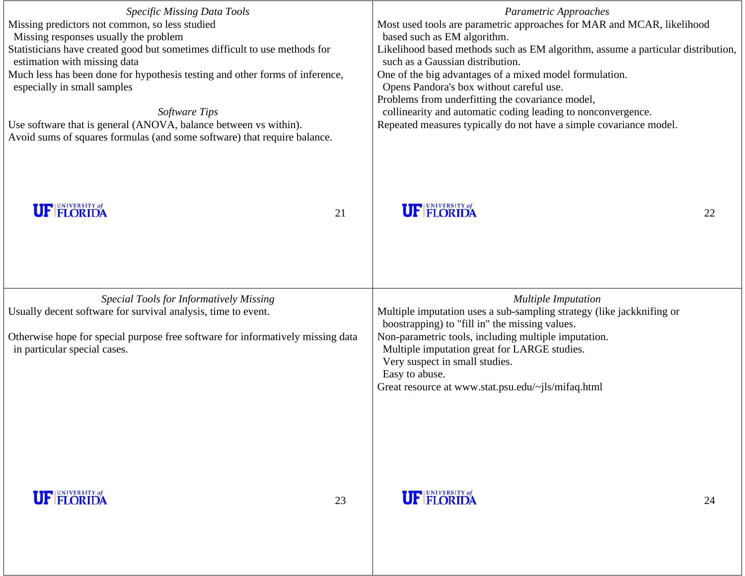| Specific Missing Data Tools<br>Missing predictors not common, so less studied<br>Missing responses usually the problem<br>Statisticians have created good but sometimes difficult to use methods for<br>estimation with missing data<br>Much less has been done for hypothesis testing and other forms of inference,<br>especially in small samples<br>Software Tips<br>Use software that is general (ANOVA, balance between vs within).<br>Avoid sums of squares formulas (and some software) that require balance. |    | Parametric Approaches<br>Most used tools are parametric approaches for MAR and MCAR, likelihood<br>based such as EM algorithm.<br>Likelihood based methods such as EM algorithm, assume a particular distribution,<br>such as a Gaussian distribution.<br>One of the big advantages of a mixed model formulation.<br>Opens Pandora's box without careful use.<br>Problems from underfitting the covariance model,<br>collinearity and automatic coding leading to nonconvergence.<br>Repeated measures typically do not have a simple covariance model. |    |  |
|----------------------------------------------------------------------------------------------------------------------------------------------------------------------------------------------------------------------------------------------------------------------------------------------------------------------------------------------------------------------------------------------------------------------------------------------------------------------------------------------------------------------|----|---------------------------------------------------------------------------------------------------------------------------------------------------------------------------------------------------------------------------------------------------------------------------------------------------------------------------------------------------------------------------------------------------------------------------------------------------------------------------------------------------------------------------------------------------------|----|--|
| <b>UF FLORIDA</b>                                                                                                                                                                                                                                                                                                                                                                                                                                                                                                    | 21 | <b>UF FLORIDA</b>                                                                                                                                                                                                                                                                                                                                                                                                                                                                                                                                       | 22 |  |
| Special Tools for Informatively Missing<br>Usually decent software for survival analysis, time to event.<br>Otherwise hope for special purpose free software for informatively missing data<br>in particular special cases.                                                                                                                                                                                                                                                                                          |    | <b>Multiple Imputation</b><br>Multiple imputation uses a sub-sampling strategy (like jackknifing or<br>boostrapping) to "fill in" the missing values.<br>Non-parametric tools, including multiple imputation.<br>Multiple imputation great for LARGE studies.<br>Very suspect in small studies.<br>Easy to abuse.<br>Great resource at www.stat.psu.edu/~jls/mifaq.html                                                                                                                                                                                 |    |  |
| <b>UF FLORIDA</b>                                                                                                                                                                                                                                                                                                                                                                                                                                                                                                    | 23 | <b>UF FLORIDA</b>                                                                                                                                                                                                                                                                                                                                                                                                                                                                                                                                       | 24 |  |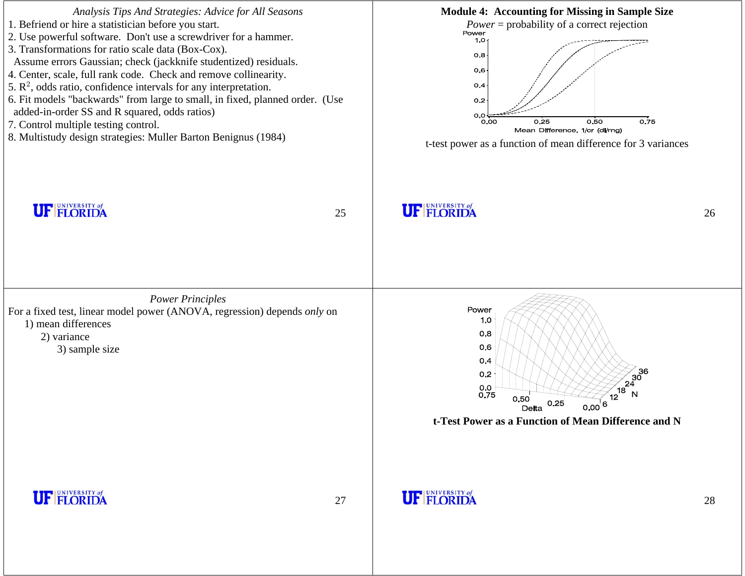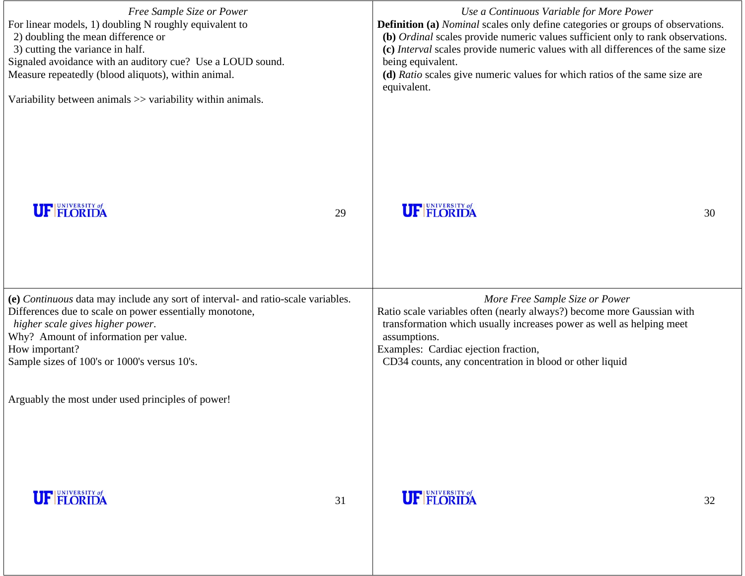| Free Sample Size or Power<br>For linear models, 1) doubling N roughly equivalent to<br>2) doubling the mean difference or<br>3) cutting the variance in half.<br>Signaled avoidance with an auditory cue? Use a LOUD sound.<br>Measure repeatedly (blood aliquots), within animal.<br>Variability between animals >> variability within animals. |    | Use a Continuous Variable for More Power<br><b>Definition (a)</b> Nominal scales only define categories or groups of observations.<br>(b) Ordinal scales provide numeric values sufficient only to rank observations.<br>(c) Interval scales provide numeric values with all differences of the same size<br>being equivalent.<br>(d) Ratio scales give numeric values for which ratios of the same size are<br>equivalent. |    |  |
|--------------------------------------------------------------------------------------------------------------------------------------------------------------------------------------------------------------------------------------------------------------------------------------------------------------------------------------------------|----|-----------------------------------------------------------------------------------------------------------------------------------------------------------------------------------------------------------------------------------------------------------------------------------------------------------------------------------------------------------------------------------------------------------------------------|----|--|
| <b>UF FLORIDA</b>                                                                                                                                                                                                                                                                                                                                | 29 | <b>UF FLORIDA</b>                                                                                                                                                                                                                                                                                                                                                                                                           | 30 |  |
| (e) Continuous data may include any sort of interval- and ratio-scale variables.<br>Differences due to scale on power essentially monotone,<br>higher scale gives higher power.<br>Why? Amount of information per value.<br>How important?<br>Sample sizes of 100's or 1000's versus 10's.<br>Arguably the most under used principles of power!  |    | More Free Sample Size or Power<br>Ratio scale variables often (nearly always?) become more Gaussian with<br>transformation which usually increases power as well as helping meet<br>assumptions.<br>Examples: Cardiac ejection fraction,<br>CD34 counts, any concentration in blood or other liquid                                                                                                                         |    |  |
| <b>UF FLORIDA</b>                                                                                                                                                                                                                                                                                                                                | 31 | <b>UF FLORIDA</b>                                                                                                                                                                                                                                                                                                                                                                                                           | 32 |  |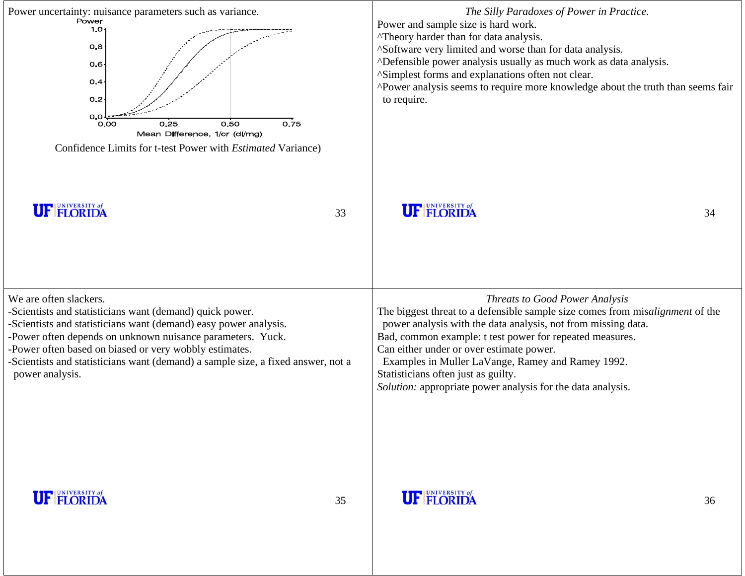| Power uncertainty: nuisance parameters such as variance.<br>Power<br>1.O $\cdot$<br>O.B<br>0.6 <sub>1</sub><br>O.4<br>O.2<br>O.O<br>0.50<br>0.75<br>0.25<br>0.00<br>Mean Difference, 1/cr (dl/mg)<br>Confidence Limits for t-test Power with Estimated Variance)                                                                                                                     |    | The Silly Paradoxes of Power in Practice.<br>Power and sample size is hard work.<br>"Theory harder than for data analysis.<br>^Software very limited and worse than for data analysis.<br>ADefensible power analysis usually as much work as data analysis.<br>^Simplest forms and explanations often not clear.<br>^Power analysis seems to require more knowledge about the truth than seems fair<br>to require.                                         |    |
|--------------------------------------------------------------------------------------------------------------------------------------------------------------------------------------------------------------------------------------------------------------------------------------------------------------------------------------------------------------------------------------|----|------------------------------------------------------------------------------------------------------------------------------------------------------------------------------------------------------------------------------------------------------------------------------------------------------------------------------------------------------------------------------------------------------------------------------------------------------------|----|
| <b>UF FLORIDA</b>                                                                                                                                                                                                                                                                                                                                                                    | 33 | <b>UF FLORIDA</b>                                                                                                                                                                                                                                                                                                                                                                                                                                          | 34 |
| We are often slackers.<br>-Scientists and statisticians want (demand) quick power.<br>-Scientists and statisticians want (demand) easy power analysis.<br>-Power often depends on unknown nuisance parameters. Yuck.<br>-Power often based on biased or very wobbly estimates.<br>Scientists and statisticians want (demand) a sample size, a fixed answer, not a<br>power analysis. |    | <b>Threats to Good Power Analysis</b><br>The biggest threat to a defensible sample size comes from misalignment of the<br>power analysis with the data analysis, not from missing data.<br>Bad, common example: t test power for repeated measures.<br>Can either under or over estimate power.<br>Examples in Muller LaVange, Ramey and Ramey 1992.<br>Statisticians often just as guilty.<br>Solution: appropriate power analysis for the data analysis. |    |
| <b>UF FLORIDA</b>                                                                                                                                                                                                                                                                                                                                                                    | 35 | <b>UF FLORIDA</b>                                                                                                                                                                                                                                                                                                                                                                                                                                          | 36 |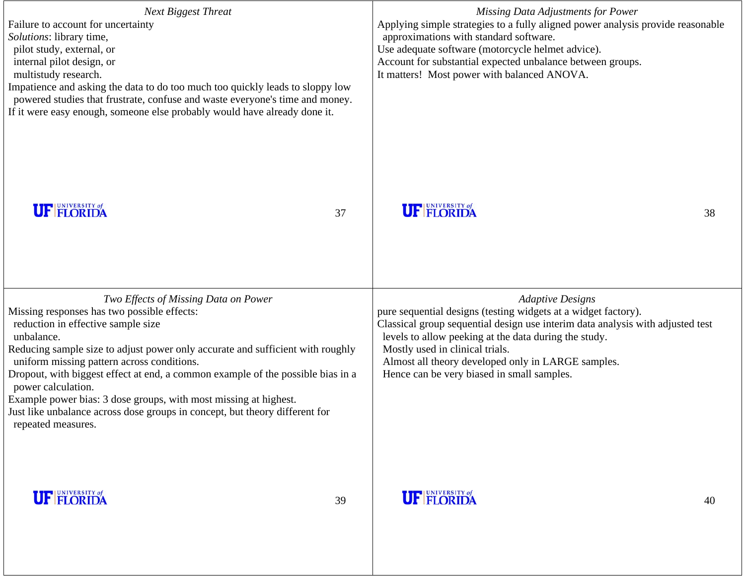| <b>Next Biggest Threat</b><br>Failure to account for uncertainty<br>Solutions: library time,<br>pilot study, external, or<br>internal pilot design, or<br>multistudy research.<br>Impatience and asking the data to do too much too quickly leads to sloppy low<br>powered studies that frustrate, confuse and waste everyone's time and money.<br>If it were easy enough, someone else probably would have already done it.                                                                                                                              |    | Missing Data Adjustments for Power<br>Applying simple strategies to a fully aligned power analysis provide reasonable<br>approximations with standard software.<br>Use adequate software (motorcycle helmet advice).<br>Account for substantial expected unbalance between groups.<br>It matters! Most power with balanced ANOVA.                                           |  |
|-----------------------------------------------------------------------------------------------------------------------------------------------------------------------------------------------------------------------------------------------------------------------------------------------------------------------------------------------------------------------------------------------------------------------------------------------------------------------------------------------------------------------------------------------------------|----|-----------------------------------------------------------------------------------------------------------------------------------------------------------------------------------------------------------------------------------------------------------------------------------------------------------------------------------------------------------------------------|--|
| <b>UF FLORIDA</b>                                                                                                                                                                                                                                                                                                                                                                                                                                                                                                                                         | 37 | <b>UF FLORIDA</b><br>38                                                                                                                                                                                                                                                                                                                                                     |  |
| Two Effects of Missing Data on Power<br>Missing responses has two possible effects:<br>reduction in effective sample size<br>unbalance.<br>Reducing sample size to adjust power only accurate and sufficient with roughly<br>uniform missing pattern across conditions.<br>Dropout, with biggest effect at end, a common example of the possible bias in a<br>power calculation.<br>Example power bias: 3 dose groups, with most missing at highest.<br>Just like unbalance across dose groups in concept, but theory different for<br>repeated measures. |    | <b>Adaptive Designs</b><br>pure sequential designs (testing widgets at a widget factory).<br>Classical group sequential design use interim data analysis with adjusted test<br>levels to allow peeking at the data during the study.<br>Mostly used in clinical trials.<br>Almost all theory developed only in LARGE samples.<br>Hence can be very biased in small samples. |  |
| <b>UF FLORIDA</b>                                                                                                                                                                                                                                                                                                                                                                                                                                                                                                                                         | 39 | <b>UF FLORIDA</b><br>40                                                                                                                                                                                                                                                                                                                                                     |  |